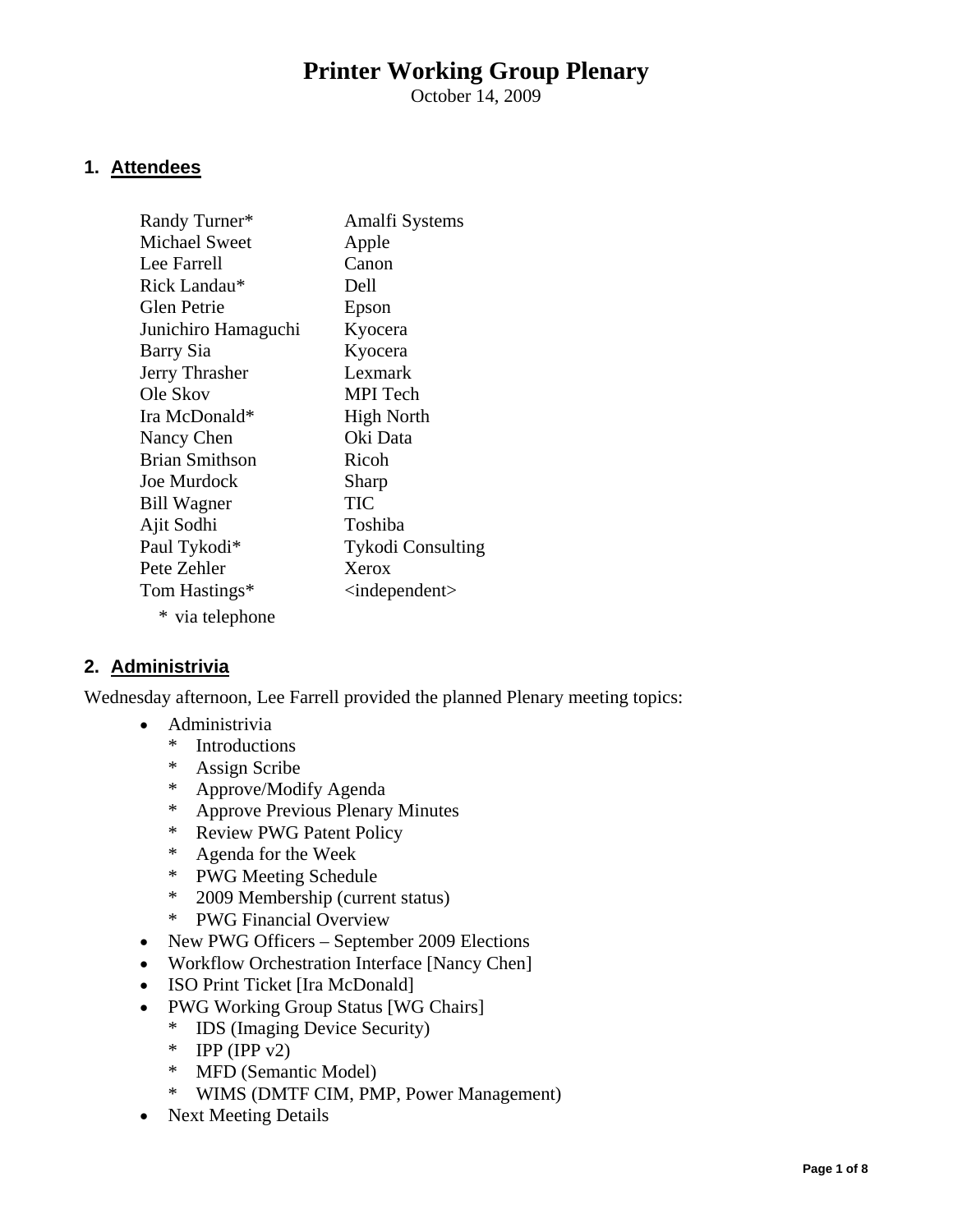# **Printer Working Group Plenary**

October 14, 2009

#### **1. Attendees**

| Randy Turner*        | Amalfi Systems                  |
|----------------------|---------------------------------|
| <b>Michael Sweet</b> | Apple                           |
| Lee Farrell          | Canon                           |
| Rick Landau*         | Dell                            |
| <b>Glen Petrie</b>   | Epson                           |
| Junichiro Hamaguchi  | Kyocera                         |
| Barry Sia            | Kyocera                         |
| Jerry Thrasher       | Lexmark                         |
| Ole Skov             | <b>MPI</b> Tech                 |
| Ira McDonald*        | <b>High North</b>               |
| Nancy Chen           | Oki Data                        |
| Brian Smithson       | Ricoh                           |
| <b>Joe Murdock</b>   | Sharp                           |
| <b>Bill Wagner</b>   | TIC                             |
| Ajit Sodhi           | Toshiba                         |
| Paul Tykodi*         | <b>Tykodi Consulting</b>        |
| Pete Zehler          | Xerox                           |
| Tom Hastings*        | $\langle$ independent $\rangle$ |
| * via telephone      |                                 |

#### **2. Administrivia**

Wednesday afternoon, Lee Farrell provided the planned Plenary meeting topics:

- Administrivia
	- \* Introductions
	- \* Assign Scribe
	- \* Approve/Modify Agenda
	- \* Approve Previous Plenary Minutes
	- \* Review PWG Patent Policy
	- \* Agenda for the Week
	- \* PWG Meeting Schedule
	- \* 2009 Membership (current status)
	- \* PWG Financial Overview
- New PWG Officers September 2009 Elections
- Workflow Orchestration Interface [Nancy Chen]
- ISO Print Ticket [Ira McDonald]
- PWG Working Group Status [WG Chairs]
	- \* IDS (Imaging Device Security)
	- \* IPP (IPP  $v2$ )
	- \* MFD (Semantic Model)
	- \* WIMS (DMTF CIM, PMP, Power Management)
- Next Meeting Details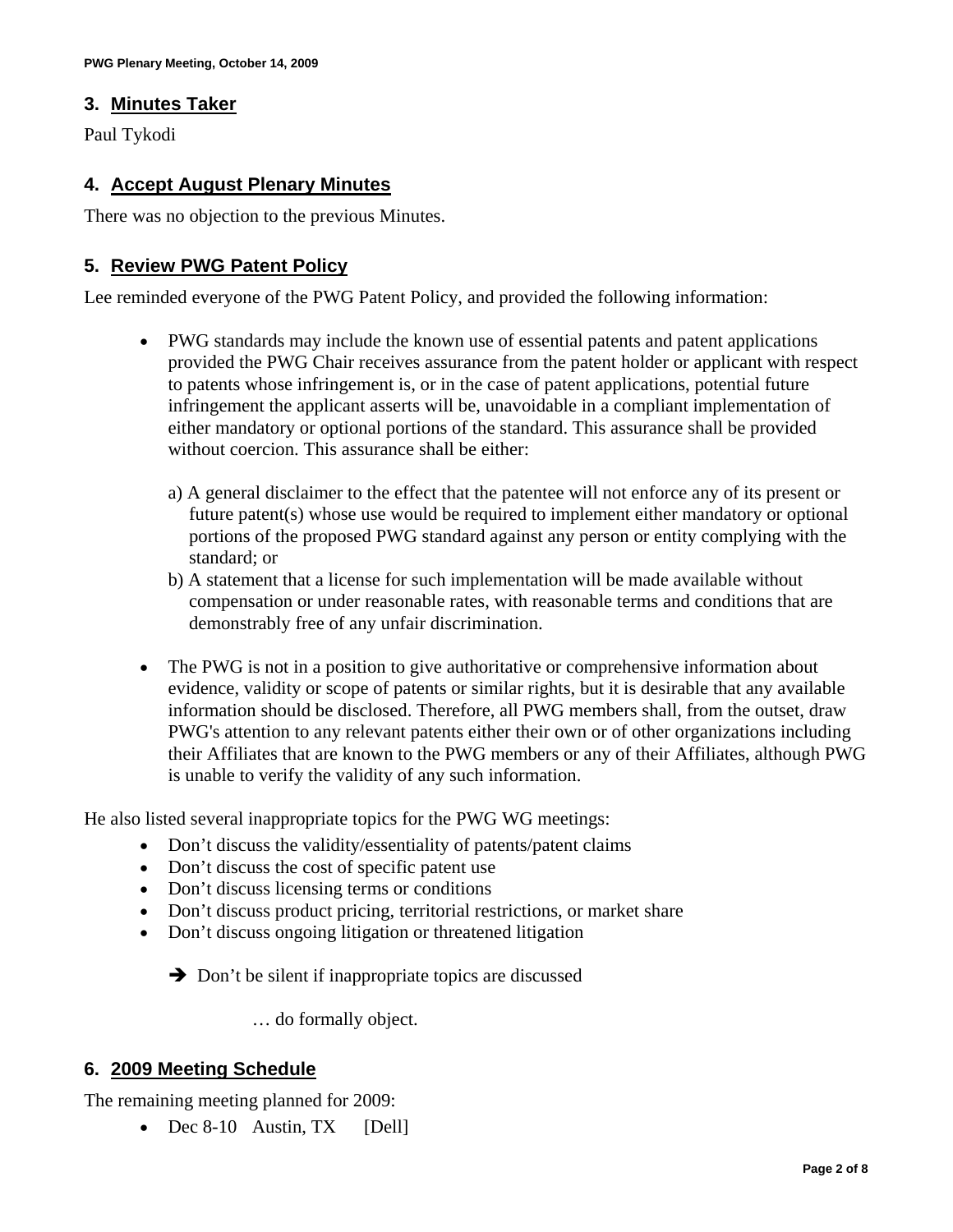#### **3. Minutes Taker**

Paul Tykodi

#### **4. Accept August Plenary Minutes**

There was no objection to the previous Minutes.

#### **5. Review PWG Patent Policy**

Lee reminded everyone of the PWG Patent Policy, and provided the following information:

- PWG standards may include the known use of essential patents and patent applications provided the PWG Chair receives assurance from the patent holder or applicant with respect to patents whose infringement is, or in the case of patent applications, potential future infringement the applicant asserts will be, unavoidable in a compliant implementation of either mandatory or optional portions of the standard. This assurance shall be provided without coercion. This assurance shall be either:
	- a) A general disclaimer to the effect that the patentee will not enforce any of its present or future patent(s) whose use would be required to implement either mandatory or optional portions of the proposed PWG standard against any person or entity complying with the standard; or
	- b) A statement that a license for such implementation will be made available without compensation or under reasonable rates, with reasonable terms and conditions that are demonstrably free of any unfair discrimination.
- The PWG is not in a position to give authoritative or comprehensive information about evidence, validity or scope of patents or similar rights, but it is desirable that any available information should be disclosed. Therefore, all PWG members shall, from the outset, draw PWG's attention to any relevant patents either their own or of other organizations including their Affiliates that are known to the PWG members or any of their Affiliates, although PWG is unable to verify the validity of any such information.

He also listed several inappropriate topics for the PWG WG meetings:

- Don't discuss the validity/essentiality of patents/patent claims
- Don't discuss the cost of specific patent use
- Don't discuss licensing terms or conditions
- Don't discuss product pricing, territorial restrictions, or market share
- Don't discuss ongoing litigation or threatened litigation

 $\rightarrow$  Don't be silent if inappropriate topics are discussed

… do formally object.

#### **6. 2009 Meeting Schedule**

The remaining meeting planned for 2009:

• Dec 8-10 Austin, TX [Dell]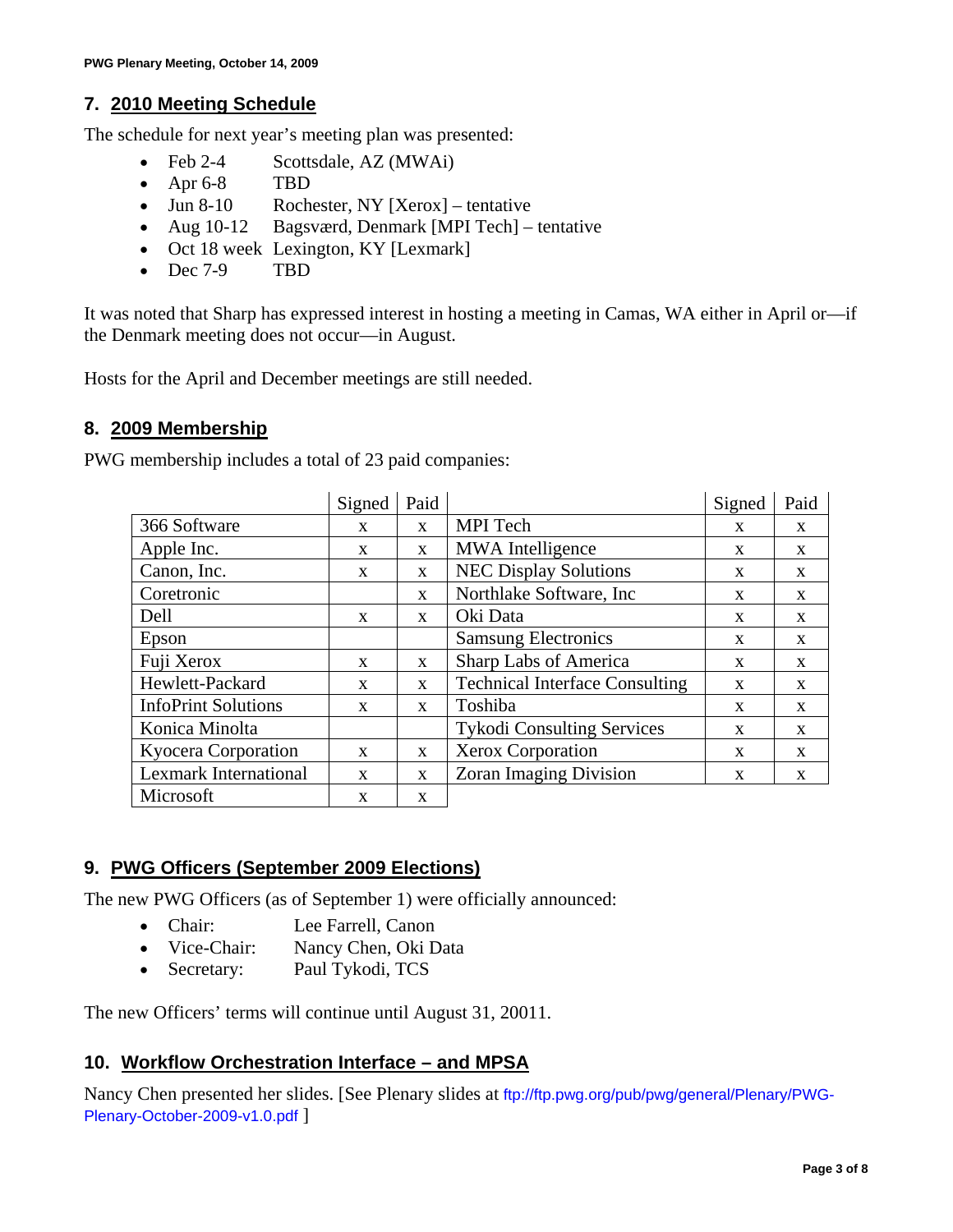#### **7. 2010 Meeting Schedule**

The schedule for next year's meeting plan was presented:

- Feb 2-4 Scottsdale, AZ (MWAi)
- Apr 6-8 TBD
- Jun 8-10 Rochester, NY [Xerox] tentative
- Aug 10-12 Bagsværd, Denmark [MPI Tech] tentative
- Oct 18 week Lexington, KY [Lexmark]
- Dec 7-9 TBD

It was noted that Sharp has expressed interest in hosting a meeting in Camas, WA either in April or—if the Denmark meeting does not occur—in August.

Hosts for the April and December meetings are still needed.

#### **8. 2009 Membership**

PWG membership includes a total of 23 paid companies:

|                              | Signed       | Paid         |                                       | Signed       | Paid         |
|------------------------------|--------------|--------------|---------------------------------------|--------------|--------------|
| 366 Software                 | X            | $\mathbf{X}$ | MPI Tech                              | X            | X            |
| Apple Inc.                   | X            | $\mathbf{X}$ | <b>MWA</b> Intelligence               | X            | X            |
| Canon, Inc.                  | X            | $\mathbf{X}$ | <b>NEC Display Solutions</b>          | X            | X            |
| Coretronic                   |              | $\mathbf{X}$ | Northlake Software, Inc.              | X            | X            |
| Dell                         | $\mathbf{x}$ | $\mathbf{x}$ | Oki Data                              | X            | X            |
| Epson                        |              |              | <b>Samsung Electronics</b>            | X            | X            |
| Fuji Xerox                   | $\mathbf{x}$ | $\mathbf{x}$ | Sharp Labs of America                 | X            | X            |
| Hewlett-Packard              | X            | $\mathbf{x}$ | <b>Technical Interface Consulting</b> | X            | X            |
| <b>InfoPrint Solutions</b>   | $\mathbf{X}$ | $\mathbf{x}$ | Toshiba                               | X            | $\mathbf{X}$ |
| Konica Minolta               |              |              | <b>Tykodi Consulting Services</b>     | $\mathbf{X}$ | $\mathbf{x}$ |
| Kyocera Corporation          | $\mathbf{x}$ | $\mathbf{x}$ | Xerox Corporation                     | X            | X            |
| <b>Lexmark International</b> | $\mathbf{X}$ | $\mathbf{x}$ | <b>Zoran Imaging Division</b>         | X            | X            |
| Microsoft                    | $\mathbf{X}$ | $\mathbf{x}$ |                                       |              |              |

#### **9. PWG Officers (September 2009 Elections)**

The new PWG Officers (as of September 1) were officially announced:

- Chair: Lee Farrell, Canon
- Vice-Chair: Nancy Chen, Oki Data
- Secretary: Paul Tykodi, TCS

The new Officers' terms will continue until August 31, 20011.

#### **10. Workflow Orchestration Interface – and MPSA**

Nancy Chen presented her slides. [See Plenary slides at [ftp://ftp.pwg.org/pub/pwg/general/Plenary/PWG-](ftp://ftp.pwg.org/pub/pwg/general/Plenary/PWG-Plenary-October-2009-v1.0.pdf)[Plenary-October-2009-v1.0.pdf](ftp://ftp.pwg.org/pub/pwg/general/Plenary/PWG-Plenary-October-2009-v1.0.pdf) ]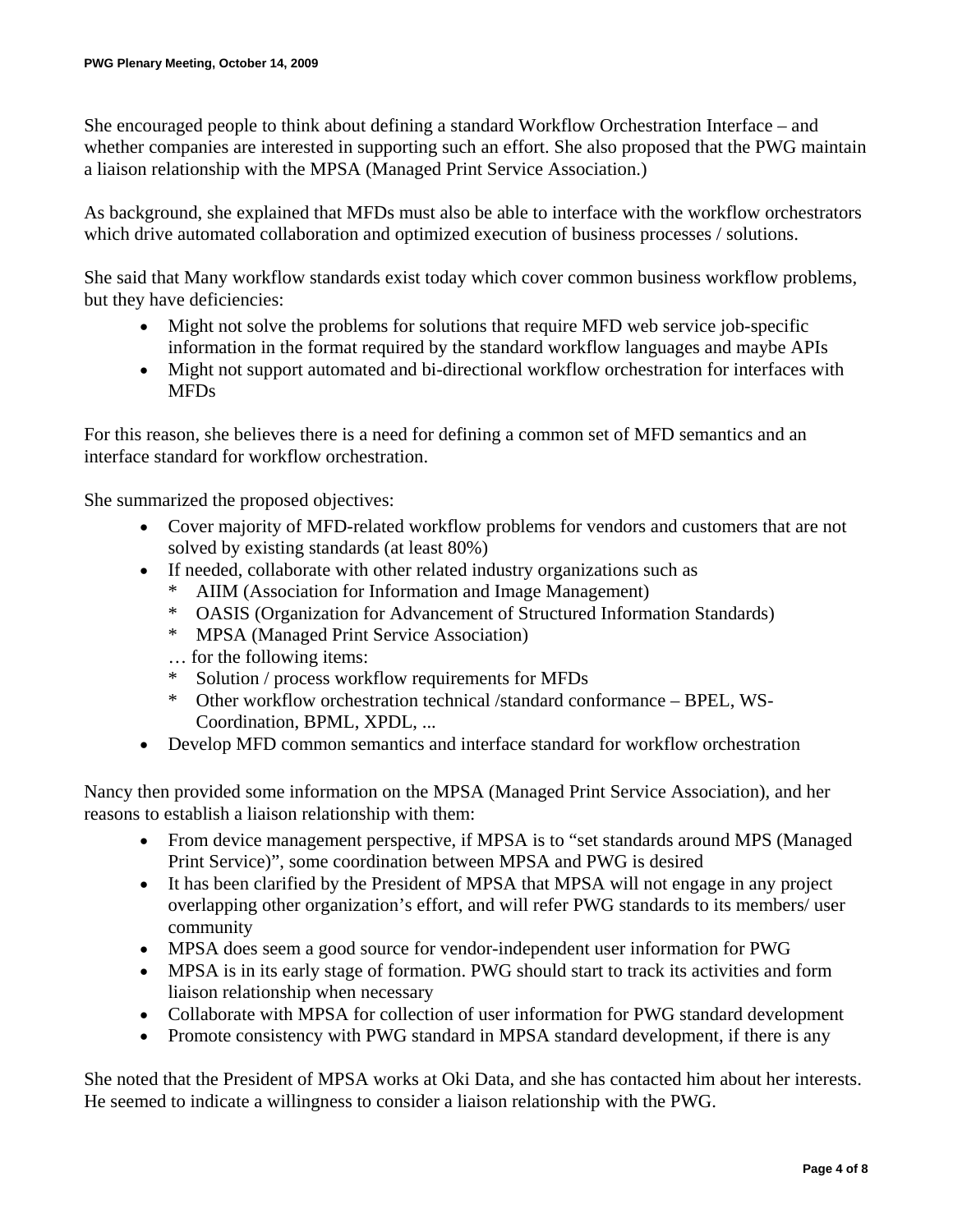She encouraged people to think about defining a standard Workflow Orchestration Interface – and whether companies are interested in supporting such an effort. She also proposed that the PWG maintain a liaison relationship with the MPSA (Managed Print Service Association.)

As background, she explained that MFDs must also be able to interface with the workflow orchestrators which drive automated collaboration and optimized execution of business processes / solutions.

She said that Many workflow standards exist today which cover common business workflow problems, but they have deficiencies:

- Might not solve the problems for solutions that require MFD web service job-specific information in the format required by the standard workflow languages and maybe APIs
- Might not support automated and bi-directional workflow orchestration for interfaces with MFDs

For this reason, she believes there is a need for defining a common set of MFD semantics and an interface standard for workflow orchestration.

She summarized the proposed objectives:

- Cover majority of MFD-related workflow problems for vendors and customers that are not solved by existing standards (at least 80%)
- If needed, collaborate with other related industry organizations such as
	- \* AIIM (Association for Information and Image Management)
	- \* OASIS (Organization for Advancement of Structured Information Standards)
	- \* MPSA (Managed Print Service Association)
	- … for the following items:
	- \* Solution / process workflow requirements for MFDs
	- \* Other workflow orchestration technical /standard conformance BPEL, WS-Coordination, BPML, XPDL, ...
- Develop MFD common semantics and interface standard for workflow orchestration

Nancy then provided some information on the MPSA (Managed Print Service Association), and her reasons to establish a liaison relationship with them:

- From device management perspective, if MPSA is to "set standards around MPS (Managed Print Service)", some coordination between MPSA and PWG is desired
- It has been clarified by the President of MPSA that MPSA will not engage in any project overlapping other organization's effort, and will refer PWG standards to its members/ user community
- MPSA does seem a good source for vendor-independent user information for PWG
- MPSA is in its early stage of formation. PWG should start to track its activities and form liaison relationship when necessary
- Collaborate with MPSA for collection of user information for PWG standard development
- Promote consistency with PWG standard in MPSA standard development, if there is any

She noted that the President of MPSA works at Oki Data, and she has contacted him about her interests. He seemed to indicate a willingness to consider a liaison relationship with the PWG.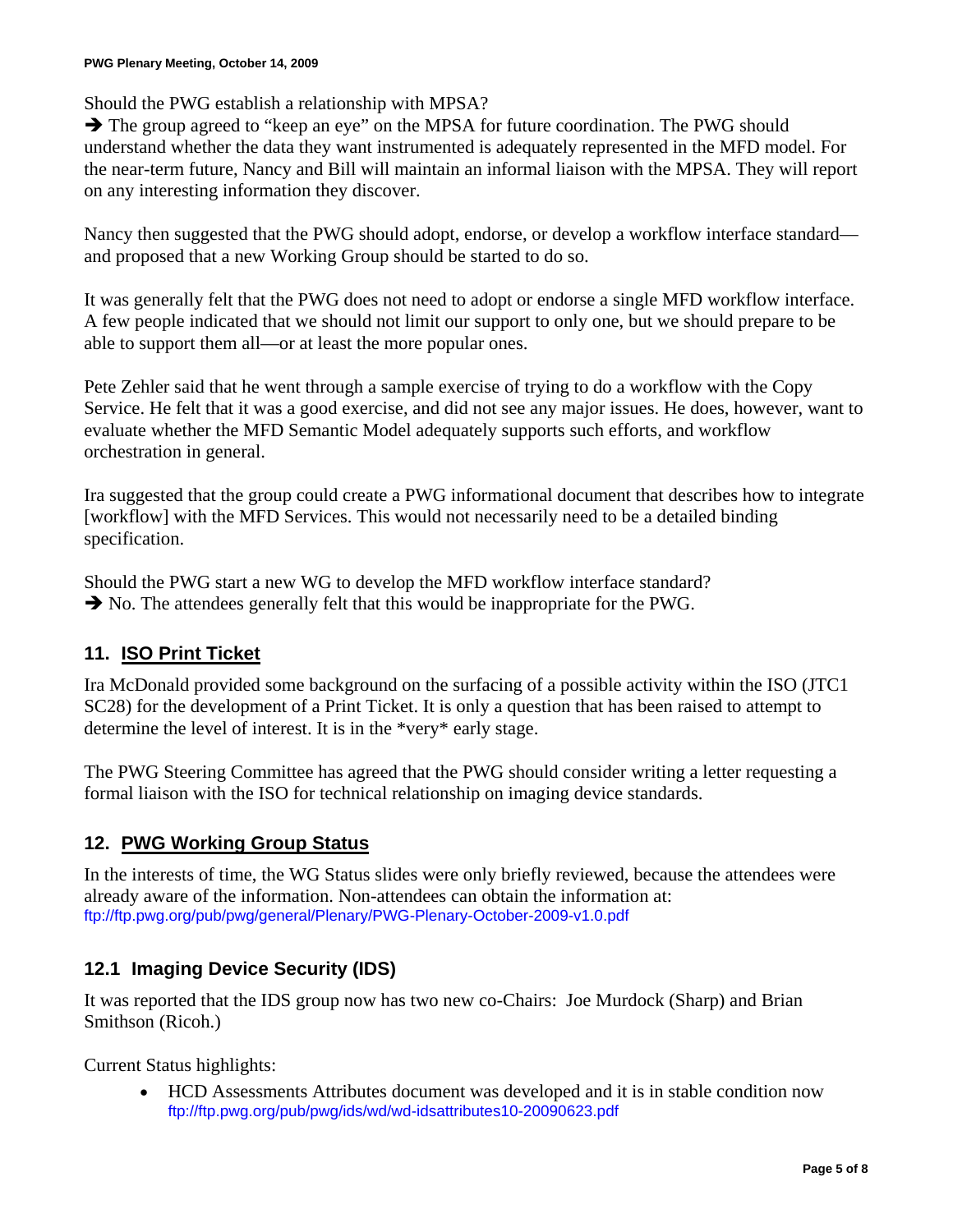Should the PWG establish a relationship with MPSA?

 $\rightarrow$  The group agreed to "keep an eye" on the MPSA for future coordination. The PWG should understand whether the data they want instrumented is adequately represented in the MFD model. For the near-term future, Nancy and Bill will maintain an informal liaison with the MPSA. They will report on any interesting information they discover.

Nancy then suggested that the PWG should adopt, endorse, or develop a workflow interface standard and proposed that a new Working Group should be started to do so.

It was generally felt that the PWG does not need to adopt or endorse a single MFD workflow interface. A few people indicated that we should not limit our support to only one, but we should prepare to be able to support them all—or at least the more popular ones.

Pete Zehler said that he went through a sample exercise of trying to do a workflow with the Copy Service. He felt that it was a good exercise, and did not see any major issues. He does, however, want to evaluate whether the MFD Semantic Model adequately supports such efforts, and workflow orchestration in general.

Ira suggested that the group could create a PWG informational document that describes how to integrate [workflow] with the MFD Services. This would not necessarily need to be a detailed binding specification.

Should the PWG start a new WG to develop the MFD workflow interface standard?  $\rightarrow$  No. The attendees generally felt that this would be inappropriate for the PWG.

### **11. ISO Print Ticket**

Ira McDonald provided some background on the surfacing of a possible activity within the ISO (JTC1 SC28) for the development of a Print Ticket. It is only a question that has been raised to attempt to determine the level of interest. It is in the \*very\* early stage.

The PWG Steering Committee has agreed that the PWG should consider writing a letter requesting a formal liaison with the ISO for technical relationship on imaging device standards.

## **12. PWG Working Group Status**

In the interests of time, the WG Status slides were only briefly reviewed, because the attendees were already aware of the information. Non-attendees can obtain the information at: <ftp://ftp.pwg.org/pub/pwg/general/Plenary/PWG-Plenary-October-2009-v1.0.pdf>

## **12.1 Imaging Device Security (IDS)**

It was reported that the IDS group now has two new co-Chairs: Joe Murdock (Sharp) and Brian Smithson (Ricoh.)

Current Status highlights:

• HCD Assessments Attributes document was developed and it is in stable condition now <ftp://ftp.pwg.org/pub/pwg/ids/wd/wd-idsattributes10-20090623.pdf>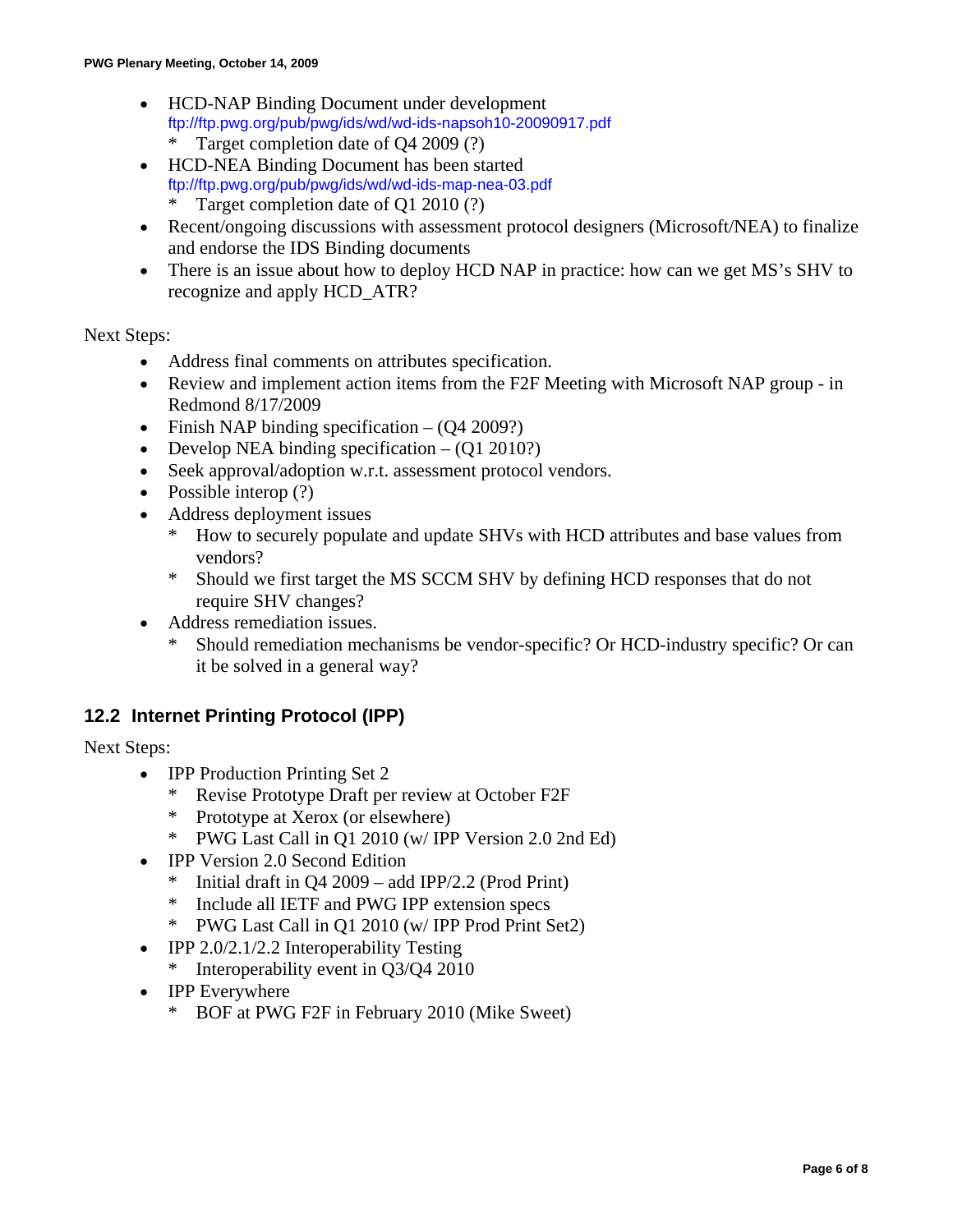- HCD-NAP Binding Document under development <ftp://ftp.pwg.org/pub/pwg/ids/wd/wd-ids-napsoh10-20090917.pdf> Target completion date of  $Q4 2009$  (?)
- HCD-NEA Binding Document has been started <ftp://ftp.pwg.org/pub/pwg/ids/wd/wd-ids-map-nea-03.pdf> Target completion date of Q1 2010  $(?)$
- Recent/ongoing discussions with assessment protocol designers (Microsoft/NEA) to finalize and endorse the IDS Binding documents
- There is an issue about how to deploy HCD NAP in practice: how can we get MS's SHV to recognize and apply HCD\_ATR?

#### Next Steps:

- Address final comments on attributes specification.
- Review and implement action items from the F2F Meeting with Microsoft NAP group in Redmond 8/17/2009
- Finish NAP binding specification  $(Q4 2009?)$
- Develop NEA binding specification  $(Q1 2010?)$
- Seek approval/adoption w.r.t. assessment protocol vendors.
- Possible interop (?)
- Address deployment issues
	- \* How to securely populate and update SHVs with HCD attributes and base values from vendors?
	- \* Should we first target the MS SCCM SHV by defining HCD responses that do not require SHV changes?
- Address remediation issues.
	- Should remediation mechanisms be vendor-specific? Or HCD-industry specific? Or can it be solved in a general way?

#### **12.2 Internet Printing Protocol (IPP)**

Next Steps:

- **IPP Production Printing Set 2** 
	- \* Revise Prototype Draft per review at October F2F
	- \* Prototype at Xerox (or elsewhere)
	- \* PWG Last Call in Q1 2010 (w/ IPP Version 2.0 2nd Ed)
- IPP Version 2.0 Second Edition
	- \* Initial draft in Q4 2009 add IPP/2.2 (Prod Print)
	- \* Include all IETF and PWG IPP extension specs
	- \* PWG Last Call in Q1 2010 (w/ IPP Prod Print Set2)
- IPP 2.0/2.1/2.2 Interoperability Testing
	- \* Interoperability event in Q3/Q4 2010
- **IPP** Everywhere
	- \* BOF at PWG F2F in February 2010 (Mike Sweet)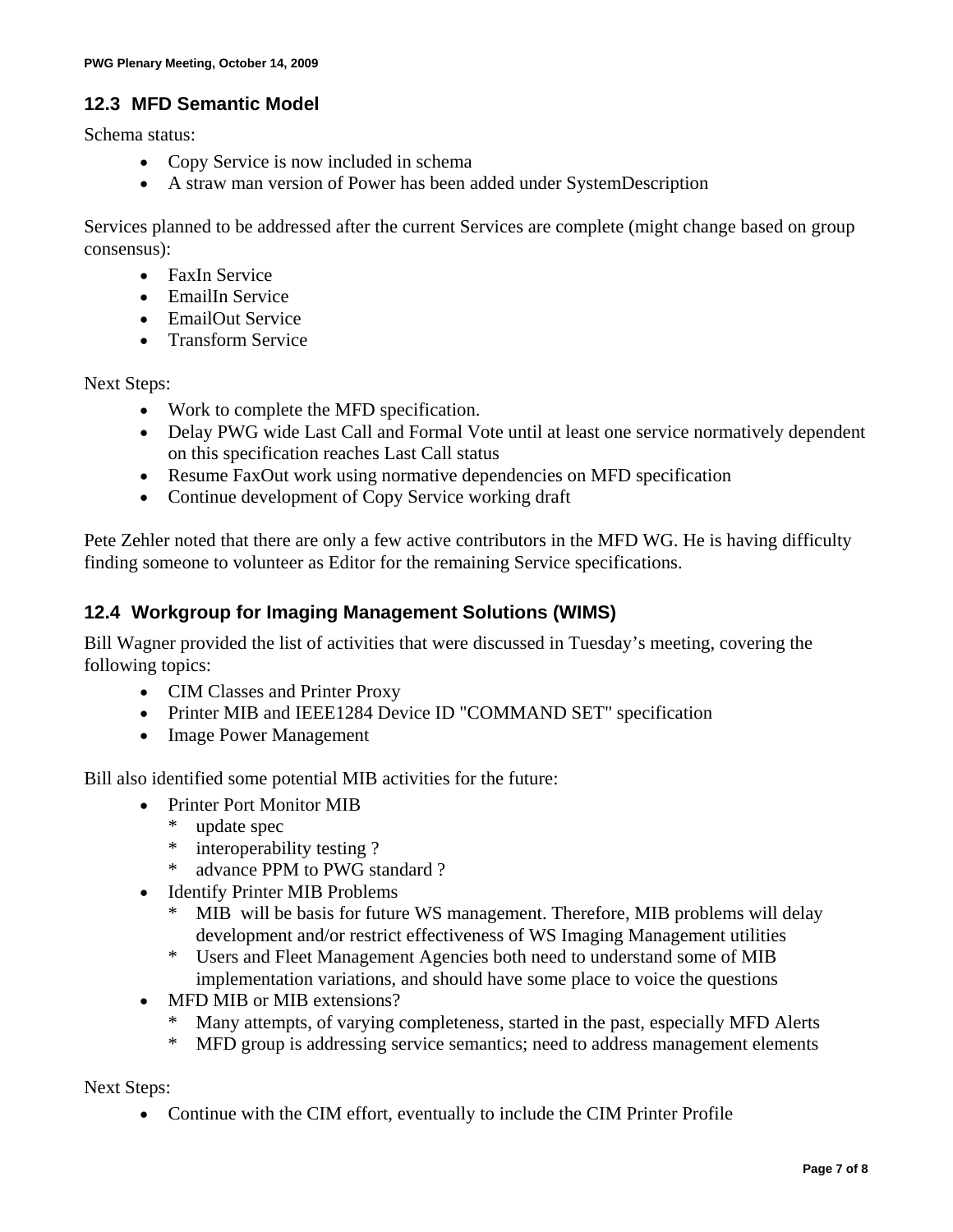### **12.3 MFD Semantic Model**

Schema status:

- Copy Service is now included in schema
- A straw man version of Power has been added under SystemDescription

Services planned to be addressed after the current Services are complete (might change based on group consensus):

- FaxIn Service
- EmailIn Service
- EmailOut Service
- Transform Service

Next Steps:

- Work to complete the MFD specification.
- Delay PWG wide Last Call and Formal Vote until at least one service normatively dependent on this specification reaches Last Call status
- Resume FaxOut work using normative dependencies on MFD specification
- Continue development of Copy Service working draft

Pete Zehler noted that there are only a few active contributors in the MFD WG. He is having difficulty finding someone to volunteer as Editor for the remaining Service specifications.

#### **12.4 Workgroup for Imaging Management Solutions (WIMS)**

Bill Wagner provided the list of activities that were discussed in Tuesday's meeting, covering the following topics:

- CIM Classes and Printer Proxy
- Printer MIB and IEEE1284 Device ID "COMMAND SET" specification
- Image Power Management

Bill also identified some potential MIB activities for the future:

- Printer Port Monitor MIB
	- \* update spec
	- \* interoperability testing ?
	- \* advance PPM to PWG standard ?
- Identify Printer MIB Problems
	- MIB will be basis for future WS management. Therefore, MIB problems will delay development and/or restrict effectiveness of WS Imaging Management utilities
	- \* Users and Fleet Management Agencies both need to understand some of MIB implementation variations, and should have some place to voice the questions
- MFD MIB or MIB extensions?
	- \* Many attempts, of varying completeness, started in the past, especially MFD Alerts
	- \* MFD group is addressing service semantics; need to address management elements

Next Steps:

• Continue with the CIM effort, eventually to include the CIM Printer Profile